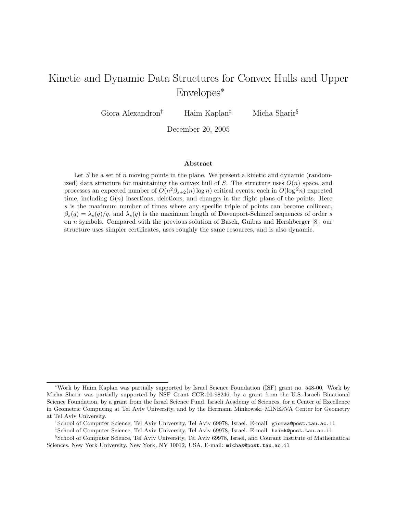# Kinetic and Dynamic Data Structures for Convex Hulls and Upper Envelopes<sup>∗</sup>

Giora Alexandron† Haim Kaplan‡ Micha Sharir§

December 20, 2005

#### Abstract

Let S be a set of n moving points in the plane. We present a kinetic and dynamic (randomized) data structure for maintaining the convex hull of S. The structure uses  $O(n)$  space, and processes an expected number of  $O(n^2\beta_{s+2}(n)\log n)$  critical events, each in  $O(\log^2 n)$  expected time, including  $O(n)$  insertions, deletions, and changes in the flight plans of the points. Here s is the maximum number of times where any specific triple of points can become collinear,  $\beta_s(q) = \lambda_s(q)/q$ , and  $\lambda_s(q)$  is the maximum length of Davenport-Schinzel sequences of order s on n symbols. Compared with the previous solution of Basch, Guibas and Hershberger [8], our structure uses simpler certificates, uses roughly the same resources, and is also dynamic.

<sup>∗</sup>Work by Haim Kaplan was partially supported by Israel Science Foundation (ISF) grant no. 548-00. Work by Micha Sharir was partially supported by NSF Grant CCR-00-98246, by a grant from the U.S.-Israeli Binational Science Foundation, by a grant from the Israel Science Fund, Israeli Academy of Sciences, for a Center of Excellence in Geometric Computing at Tel Aviv University, and by the Hermann Minkowski–MINERVA Center for Geometry at Tel Aviv University.

<sup>†</sup> School of Computer Science, Tel Aviv University, Tel Aviv 69978, Israel. E-mail: gioraa@post.tau.ac.il

<sup>‡</sup> School of Computer Science, Tel Aviv University, Tel Aviv 69978, Israel. E-mail: haimk@post.tau.ac.il

<sup>§</sup>School of Computer Science, Tel Aviv University, Tel Aviv 69978, Israel, and Courant Institute of Mathematical Sciences, New York University, New York, NY 10012, USA. E-mail: michas@post.tau.ac.il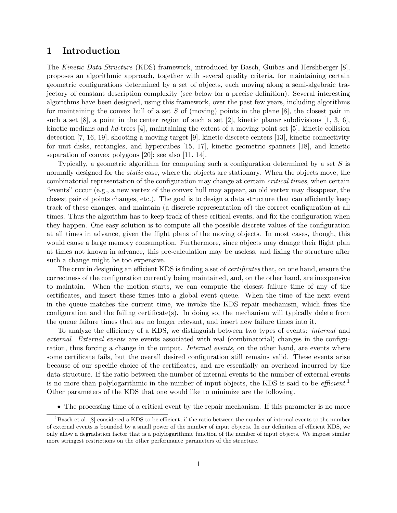## 1 Introduction

The Kinetic Data Structure (KDS) framework, introduced by Basch, Guibas and Hershberger [8], proposes an algorithmic approach, together with several quality criteria, for maintaining certain geometric configurations determined by a set of objects, each moving along a semi-algebraic trajectory of constant description complexity (see below for a precise definition). Several interesting algorithms have been designed, using this framework, over the past few years, including algorithms for maintaining the convex hull of a set  $S$  of (moving) points in the plane  $[8]$ , the closest pair in such a set  $[8]$ , a point in the center region of such a set  $[2]$ , kinetic planar subdivisions  $[1, 3, 6]$ , kinetic medians and  $kd$ -trees [4], maintaining the extent of a moving point set [5], kinetic collision detection [7, 16, 19], shooting a moving target [9], kinetic discrete centers [13], kinetic connectivity for unit disks, rectangles, and hypercubes [15, 17], kinetic geometric spanners [18], and kinetic separation of convex polygons [20]; see also [11, 14].

Typically, a geometric algorithm for computing such a configuration determined by a set S is normally designed for the *static* case, where the objects are stationary. When the objects move, the combinatorial representation of the configuration may change at certain critical times, when certain "events" occur (e.g., a new vertex of the convex hull may appear, an old vertex may disappear, the closest pair of points changes, etc.). The goal is to design a data structure that can efficiently keep track of these changes, and maintain (a discrete representation of) the correct configuration at all times. Thus the algorithm has to keep track of these critical events, and fix the configuration when they happen. One easy solution is to compute all the possible discrete values of the configuration at all times in advance, given the flight plans of the moving objects. In most cases, though, this would cause a large memory consumption. Furthermore, since objects may change their flight plan at times not known in advance, this pre-calculation may be useless, and fixing the structure after such a change might be too expensive.

The crux in designing an efficient KDS is finding a set of *certificates* that, on one hand, ensure the correctness of the configuration currently being maintained, and, on the other hand, are inexpensive to maintain. When the motion starts, we can compute the closest failure time of any of the certificates, and insert these times into a global event queue. When the time of the next event in the queue matches the current time, we invoke the KDS repair mechanism, which fixes the configuration and the failing certificate(s). In doing so, the mechanism will typically delete from the queue failure times that are no longer relevant, and insert new failure times into it.

To analyze the efficiency of a KDS, we distinguish between two types of events: internal and external. External events are events associated with real (combinatorial) changes in the configuration, thus forcing a change in the output. *Internal events*, on the other hand, are events where some certificate fails, but the overall desired configuration still remains valid. These events arise because of our specific choice of the certificates, and are essentially an overhead incurred by the data structure. If the ratio between the number of internal events to the number of external events is no more than polylogarithmic in the number of input objects, the KDS is said to be  $efficient<sup>1</sup>$ . Other parameters of the KDS that one would like to minimize are the following.

• The processing time of a critical event by the repair mechanism. If this parameter is no more

 ${}^{1}$ Basch et al. [8] considered a KDS to be efficient, if the ratio between the number of internal events to the number of external events is bounded by a small power of the number of input objects. In our definition of efficient KDS, we only allow a degradation factor that is a polylogarithmic function of the number of input objects. We impose similar more stringest restrictions on the other performance parameters of the structure.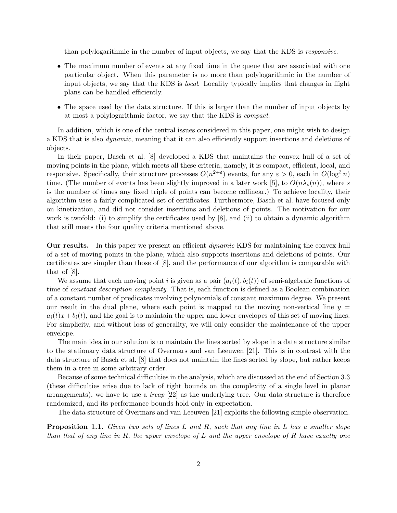than polylogarithmic in the number of input objects, we say that the KDS is responsive.

- The maximum number of events at any fixed time in the queue that are associated with one particular object. When this parameter is no more than polylogarithmic in the number of input objects, we say that the KDS is *local*. Locality typically implies that changes in flight plans can be handled efficiently.
- The space used by the data structure. If this is larger than the number of input objects by at most a polylogarithmic factor, we say that the KDS is compact.

In addition, which is one of the central issues considered in this paper, one might wish to design a KDS that is also dynamic, meaning that it can also efficiently support insertions and deletions of objects.

In their paper, Basch et al. [8] developed a KDS that maintains the convex hull of a set of moving points in the plane, which meets all these criteria, namely, it is compact, efficient, local, and responsive. Specifically, their structure processes  $O(n^{2+\epsilon})$  events, for any  $\epsilon > 0$ , each in  $O(\log^2 n)$ time. (The number of events has been slightly improved in a later work [5], to  $O(n\lambda_s(n))$ , where s is the number of times any fixed triple of points can become collinear.) To achieve locality, their algorithm uses a fairly complicated set of certificates. Furthermore, Basch et al. have focused only on kinetization, and did not consider insertions and deletions of points. The motivation for our work is twofold: (i) to simplify the certificates used by [8], and (ii) to obtain a dynamic algorithm that still meets the four quality criteria mentioned above.

Our results. In this paper we present an efficient dynamic KDS for maintaining the convex hull of a set of moving points in the plane, which also supports insertions and deletions of points. Our certificates are simpler than those of [8], and the performance of our algorithm is comparable with that of [8].

We assume that each moving point i is given as a pair  $(a_i(t), b_i(t))$  of semi-algebraic functions of time of *constant description complexity*. That is, each function is defined as a Boolean combination of a constant number of predicates involving polynomials of constant maximum degree. We present our result in the dual plane, where each point is mapped to the moving non-vertical line  $y =$  $a_i(t)x + b_i(t)$ , and the goal is to maintain the upper and lower envelopes of this set of moving lines. For simplicity, and without loss of generality, we will only consider the maintenance of the upper envelope.

The main idea in our solution is to maintain the lines sorted by slope in a data structure similar to the stationary data structure of Overmars and van Leeuwen [21]. This is in contrast with the data structure of Basch et al. [8] that does not maintain the lines sorted by slope, but rather keeps them in a tree in some arbitrary order.

Because of some technical difficulties in the analysis, which are discussed at the end of Section 3.3 (these difficulties arise due to lack of tight bounds on the complexity of a single level in planar arrangements), we have to use a *treap* [22] as the underlying tree. Our data structure is therefore randomized, and its performance bounds hold only in expectation.

The data structure of Overmars and van Leeuwen [21] exploits the following simple observation.

**Proposition 1.1.** Given two sets of lines L and R, such that any line in L has a smaller slope than that of any line in R, the upper envelope of L and the upper envelope of R have exactly one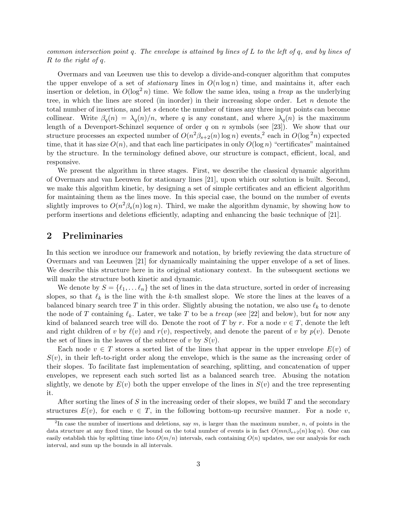common intersection point q. The envelope is attained by lines of  $L$  to the left of q, and by lines of R to the right of q.

Overmars and van Leeuwen use this to develop a divide-and-conquer algorithm that computes the upper envelope of a set of *stationary* lines in  $O(n \log n)$  time, and maintains it, after each insertion or deletion, in  $O(\log^2 n)$  time. We follow the same idea, using a *treap* as the underlying tree, in which the lines are stored (in inorder) in their increasing slope order. Let  $n$  denote the total number of insertions, and let s denote the number of times any three input points can become collinear. Write  $\beta_q(n) = \lambda_q(n)/n$ , where q is any constant, and where  $\lambda_q(n)$  is the maximum length of a Devenport-Schinzel sequence of order  $q$  on  $n$  symbols (see [23]). We show that our structure processes an expected number of  $O(n^2\beta_{s+2}(n)\log n)$  events,<sup>2</sup> each in  $O(\log^2 n)$  expected time, that it has size  $O(n)$ , and that each line participates in only  $O(\log n)$  "certificates" maintained by the structure. In the terminology defined above, our structure is compact, efficient, local, and responsive.

We present the algorithm in three stages. First, we describe the classical dynamic algorithm of Overmars and van Leeuwen for stationary lines [21], upon which our solution is built. Second, we make this algorithm kinetic, by designing a set of simple certificates and an efficient algorithm for maintaining them as the lines move. In this special case, the bound on the number of events slightly improves to  $O(n^2\beta_s(n)\log n)$ . Third, we make the algorithm dynamic, by showing how to perform insertions and deletions efficiently, adapting and enhancing the basic technique of [21].

## 2 Preliminaries

In this section we inroduce our framework and notation, by briefly reviewing the data structure of Overmars and van Leeuwen [21] for dynamically maintaining the upper envelope of a set of lines. We describe this structure here in its original stationary context. In the subsequent sections we will make the structure both kinetic and dynamic.

We denote by  $S = \{\ell_1, \ldots \ell_n\}$  the set of lines in the data structure, sorted in order of increasing slopes, so that  $\ell_k$  is the line with the k-th smallest slope. We store the lines at the leaves of a balanced binary search tree T in this order. Slightly abusing the notation, we also use  $\ell_k$  to denote the node of T containing  $\ell_k$ . Later, we take T to be a *treap* (see [22] and below), but for now any kind of balanced search tree will do. Denote the root of T by r. For a node  $v \in T$ , denote the left and right children of v by  $\ell(v)$  and  $r(v)$ , respectively, and denote the parent of v by  $p(v)$ . Denote the set of lines in the leaves of the subtree of v by  $S(v)$ .

Each node  $v \in T$  stores a sorted list of the lines that appear in the upper envelope  $E(v)$  of  $S(v)$ , in their left-to-right order along the envelope, which is the same as the increasing order of their slopes. To facilitate fast implementation of searching, splitting, and concatenation of upper envelopes, we represent each such sorted list as a balanced search tree. Abusing the notation slightly, we denote by  $E(v)$  both the upper envelope of the lines in  $S(v)$  and the tree representing it.

After sorting the lines of S in the increasing order of their slopes, we build  $T$  and the secondary structures  $E(v)$ , for each  $v \in T$ , in the following bottom-up recursive manner. For a node v,

<sup>&</sup>lt;sup>2</sup>In case the number of insertions and deletions, say m, is larger than the maximum number, n, of points in the data structure at any fixed time, the bound on the total number of events is in fact  $O(mn\beta_{s+2}(n) \log n)$ . One can easily establish this by splitting time into  $O(m/n)$  intervals, each containing  $O(n)$  updates, use our analysis for each interval, and sum up the bounds in all intervals.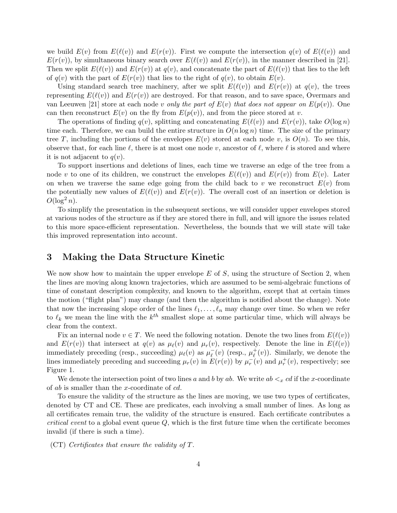we build  $E(v)$  from  $E(\ell(v))$  and  $E(r(v))$ . First we compute the intersection  $q(v)$  of  $E(\ell(v))$  and  $E(r(v))$ , by simultaneous binary search over  $E(\ell(v))$  and  $E(r(v))$ , in the manner described in [21]. Then we split  $E(\ell(v))$  and  $E(r(v))$  at  $q(v)$ , and concatenate the part of  $E(\ell(v))$  that lies to the left of  $q(v)$  with the part of  $E(r(v))$  that lies to the right of  $q(v)$ , to obtain  $E(v)$ .

Using standard search tree machinery, after we split  $E(\ell(v))$  and  $E(r(v))$  at  $q(v)$ , the trees representing  $E(\ell(v))$  and  $E(r(v))$  are destroyed. For that reason, and to save space, Overmars and van Leeuwen [21] store at each node v only the part of  $E(v)$  that does not appear on  $E(p(v))$ . One can then reconstruct  $E(v)$  on the fly from  $E(p(v))$ , and from the piece stored at v.

The operations of finding  $q(v)$ , splitting and concatenating  $E(\ell(v))$  and  $E(r(v))$ , take  $O(\log n)$ time each. Therefore, we can build the entire structure in  $O(n \log n)$  time. The size of the primary tree T, including the portions of the envelopes  $E(v)$  stored at each node v, is  $O(n)$ . To see this, observe that, for each line  $\ell$ , there is at most one node v, ancestor of  $\ell$ , where  $\ell$  is stored and where it is not adjacent to  $q(v)$ .

To support insertions and deletions of lines, each time we traverse an edge of the tree from a node v to one of its children, we construct the envelopes  $E(\ell(v))$  and  $E(r(v))$  from  $E(v)$ . Later on when we traverse the same edge going from the child back to v we reconstruct  $E(v)$  from the potentially new values of  $E(\ell(v))$  and  $E(r(v))$ . The overall cost of an insertion or deletion is  $O(\log^2 n)$ .

To simplify the presentation in the subsequent sections, we will consider upper envelopes stored at various nodes of the structure as if they are stored there in full, and will ignore the issues related to this more space-efficient representation. Nevertheless, the bounds that we will state will take this improved representation into account.

# 3 Making the Data Structure Kinetic

We now show how to maintain the upper envelope  $E$  of  $S$ , using the structure of Section 2, when the lines are moving along known trajectories, which are assumed to be semi-algebraic functions of time of constant description complexity, and known to the algorithm, except that at certain times the motion ("flight plan") may change (and then the algorithm is notified about the change). Note that now the increasing slope order of the lines  $\ell_1, \ldots, \ell_n$  may change over time. So when we refer to  $\ell_k$  we mean the line with the  $k^{th}$  smallest slope at some particular time, which will always be clear from the context.

Fix an internal node  $v \in T$ . We need the following notation. Denote the two lines from  $E(\ell(v))$ and  $E(r(v))$  that intersect at  $q(v)$  as  $\mu_{\ell}(v)$  and  $\mu_r(v)$ , respectively. Denote the line in  $E(\ell(v))$ immediately preceding (resp., succeeding)  $\mu_{\ell}(v)$  as  $\mu_{\ell}^{-}$  $\bar{\ell}(v)$  (resp.,  $\mu_{\ell}^{+}$  $^{\dagger}_{\ell}(v)$ ). Similarly, we denote the lines immediately preceding and succeeding  $\mu_r(v)$  in  $E(r(v))$  by  $\mu_r^-(v)$  and  $\mu_r^+(v)$ , respectively; see Figure 1.

We denote the intersection point of two lines a and b by ab. We write  $ab <_x cd$  if the x-coordinate of ab is smaller than the x-coordinate of cd.

To ensure the validity of the structure as the lines are moving, we use two types of certificates, denoted by CT and CE. These are predicates, each involving a small number of lines. As long as all certificates remain true, the validity of the structure is ensured. Each certificate contributes a *critical event* to a global event queue  $Q$ , which is the first future time when the certificate becomes invalid (if there is such a time).

(CT) Certificates that ensure the validity of T.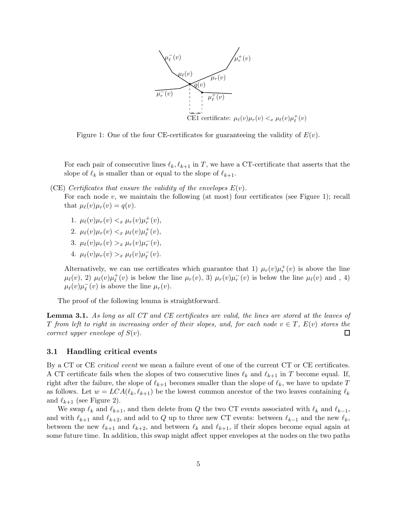

Figure 1: One of the four CE-certificates for guaranteeing the validity of  $E(v)$ .

For each pair of consecutive lines  $\ell_k, \ell_{k+1}$  in T, we have a CT-certificate that asserts that the slope of  $\ell_k$  is smaller than or equal to the slope of  $\ell_{k+1}$ .

(CE) Certificates that ensure the validity of the envelopes  $E(v)$ .

For each node v, we maintain the following (at most) four certificates (see Figure 1); recall that  $\mu_{\ell}(v)\mu_r(v) = q(v)$ .

- 1.  $\mu_{\ell}(v)\mu_r(v) <_{x} \mu_r(v)\mu_r^+(v)$ ,
- 2.  $\mu_{\ell}(v)\mu_r(v) <_{x} \mu_{\ell}(v)\mu_{\ell}^+$  $_{\ell}^{+}(v),$
- 3.  $\mu_{\ell}(v)\mu_r(v) > x \mu_r(v)\mu_r^-(v),$
- 4.  $\mu_\ell(v)\mu_r(v) >_x \mu_\ell(v)\mu_\ell^ \bar{\ell}(v)$ .

Alternatively, we can use certificates which guarantee that 1)  $\mu_r(v)\mu_r^+(v)$  is above the line  $\mu_{\ell}(v), 2) \mu_{\ell}(v) \mu_{\ell}^{+}$  $\mu^+_\ell(v)$  is below the line  $\mu_r(v)$ , 3)  $\mu_r(v)\mu^-_r(v)$  is below the line  $\mu_\ell(v)$  and , 4)  $\mu_\ell(v)\mu^-_\ell$  $\bar{e}(v)$  is above the line  $\mu_r(v)$ .

The proof of the following lemma is straightforward.

**Lemma 3.1.** As long as all CT and CE certificates are valid, the lines are stored at the leaves of T from left to right in increasing order of their slopes, and, for each node  $v \in T$ ,  $E(v)$  stores the correct upper envelope of  $S(v)$ .  $\Box$ 

## 3.1 Handling critical events

By a CT or CE *critical event* we mean a failure event of one of the current CT or CE certificates. A CT certificate fails when the slopes of two consecutive lines  $\ell_k$  and  $\ell_{k+1}$  in T become equal. If, right after the failure, the slope of  $\ell_{k+1}$  becomes smaller than the slope of  $\ell_k$ , we have to update T as follows. Let  $w = LCA(\ell_k, \ell_{k+1})$  be the lowest common ancestor of the two leaves containing  $\ell_k$ and  $\ell_{k+1}$  (see Figure 2).

We swap  $\ell_k$  and  $\ell_{k+1}$ , and then delete from Q the two CT events associated with  $\ell_k$  and  $\ell_{k-1}$ , and with  $\ell_{k+1}$  and  $\ell_{k+2}$ , and add to Q up to three new CT events: between  $\ell_{k-1}$  and the new  $\ell_k$ , between the new  $\ell_{k+1}$  and  $\ell_{k+2}$ , and between  $\ell_k$  and  $\ell_{k+1}$ , if their slopes become equal again at some future time. In addition, this swap might affect upper envelopes at the nodes on the two paths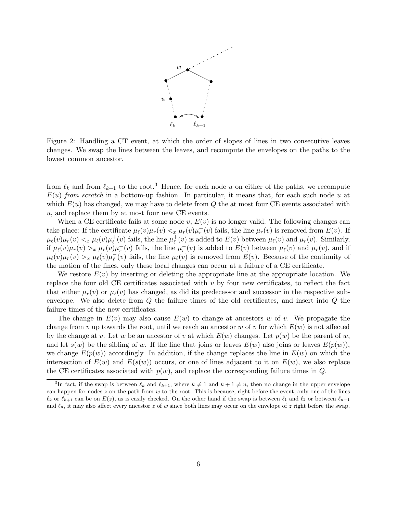

Figure 2: Handling a CT event, at which the order of slopes of lines in two consecutive leaves changes. We swap the lines between the leaves, and recompute the envelopes on the paths to the lowest common ancestor.

from  $\ell_k$  and from  $\ell_{k+1}$  to the root.<sup>3</sup> Hence, for each node u on either of the paths, we recompute  $E(u)$  from scratch in a bottom-up fashion. In particular, it means that, for each such node u at which  $E(u)$  has changed, we may have to delete from Q the at most four CE events associated with u, and replace them by at most four new CE events.

When a CE certificate fails at some node v,  $E(v)$  is no longer valid. The following changes can take place: If the certificate  $\mu_{\ell}(v)\mu_r(v) <_{x} \mu_r(v)\mu_r^+(v)$  fails, the line  $\mu_r(v)$  is removed from  $E(v)$ . If  $\mu_\ell(v)\mu_r(v) <_x \mu_\ell(v)\mu_\ell^+$  $_{\ell}^{+}(v)$  fails, the line  $\mu_{\ell}^{+}$  $\mu^{\dagger}_\ell(v)$  is added to  $E(v)$  between  $\mu_\ell(v)$  and  $\mu_r(v)$ . Similarly, if  $\mu_{\ell}(v)\mu_r(v) > x \mu_r(v)\mu_r(v)$  fails, the line  $\mu_r(v)$  is added to  $E(v)$  between  $\mu_{\ell}(v)$  and  $\mu_r(v)$ , and if  $\mu_\ell(v)\mu_r(v) >_x \mu_\ell(v)\mu^-_\ell$  $\overline{\ell}(v)$  fails, the line  $\mu_{\ell}(v)$  is removed from  $E(v)$ . Because of the continuity of the motion of the lines, only these local changes can occur at a failure of a CE certificate.

We restore  $E(v)$  by inserting or deleting the appropriate line at the appropriate location. We replace the four old CE certificates associated with  $v$  by four new certificates, to reflect the fact that either  $\mu_r(v)$  or  $\mu_\ell(v)$  has changed, as did its predecessor and successor in the respective subenvelope. We also delete from Q the failure times of the old certificates, and insert into Q the failure times of the new certificates.

The change in  $E(v)$  may also cause  $E(w)$  to change at ancestors w of v. We propagate the change from v up towards the root, until we reach an ancestor w of v for which  $E(w)$  is not affected by the change at v. Let w be an ancestor of v at which  $E(w)$  changes. Let  $p(w)$  be the parent of w, and let  $s(w)$  be the sibling of w. If the line that joins or leaves  $E(w)$  also joins or leaves  $E(p(w))$ , we change  $E(p(w))$  accordingly. In addition, if the change replaces the line in  $E(w)$  on which the intersection of  $E(w)$  and  $E(s(w))$  occurs, or one of lines adjacent to it on  $E(w)$ , we also replace the CE certificates associated with  $p(w)$ , and replace the corresponding failure times in Q.

<sup>&</sup>lt;sup>3</sup>In fact, if the swap is between  $\ell_k$  and  $\ell_{k+1}$ , where  $k \neq 1$  and  $k + 1 \neq n$ , then no change in the upper envelope can happen for nodes  $z$  on the path from  $w$  to the root. This is because, right before the event, only one of the lines  $\ell_k$  or  $\ell_{k+1}$  can be on  $E(z)$ , as is easily checked. On the other hand if the swap is between  $\ell_1$  and  $\ell_2$  or between  $\ell_{n-1}$ and  $\ell_n$ , it may also affect every ancestor z of w since both lines may occur on the envelope of z right before the swap.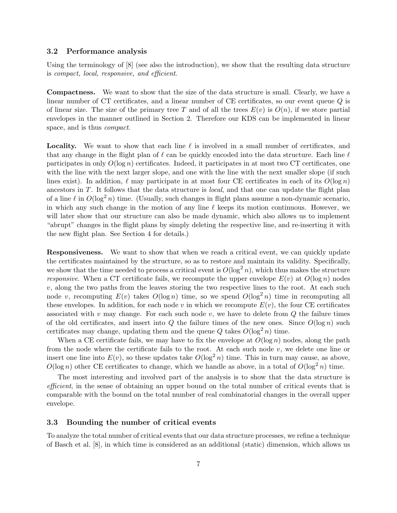### 3.2 Performance analysis

Using the terminology of [8] (see also the introduction), we show that the resulting data structure is compact, local, responsive, and efficient.

Compactness. We want to show that the size of the data structure is small. Clearly, we have a linear number of CT certificates, and a linear number of CE certificates, so our event queue Q is of linear size. The size of the primary tree T and of all the trees  $E(v)$  is  $O(n)$ , if we store partial envelopes in the manner outlined in Section 2. Therefore our KDS can be implemented in linear space, and is thus compact.

**Locality.** We want to show that each line  $\ell$  is involved in a small number of certificates, and that any change in the flight plan of  $\ell$  can be quickly encoded into the data structure. Each line  $\ell$ participates in only  $O(\log n)$  certificates. Indeed, it participates in at most two CT certificates, one with the line with the next larger slope, and one with the line with the next smaller slope (if such lines exist). In addition,  $\ell$  may participate in at most four CE certificates in each of its  $O(\log n)$ ancestors in  $T$ . It follows that the data structure is *local*, and that one can update the flight plan of a line  $\ell$  in  $O(\log^2 n)$  time. (Usually, such changes in flight plans assume a non-dynamic scenario, in which any such change in the motion of any line  $\ell$  keeps its motion continuous. However, we will later show that our structure can also be made dynamic, which also allows us to implement "abrupt" changes in the flight plans by simply deleting the respective line, and re-inserting it with the new flight plan. See Section 4 for details.)

Responsiveness. We want to show that when we reach a critical event, we can quickly update the certificates maintained by the structure, so as to restore and maintain its validity. Specifically, we show that the time needed to process a critical event is  $O(\log^2 n)$ , which thus makes the structure responsive. When a CT certificate fails, we recompute the upper envelope  $E(v)$  at  $O(\log n)$  nodes  $v$ , along the two paths from the leaves storing the two respective lines to the root. At each such node v, recomputing  $E(v)$  takes  $O(\log n)$  time, so we spend  $O(\log^2 n)$  time in recomputing all these envelopes. In addition, for each node v in which we recompute  $E(v)$ , the four CE certificates associated with v may change. For each such node v, we have to delete from  $Q$  the failure times of the old certificates, and insert into Q the failure times of the new ones. Since  $O(\log n)$  such certificates may change, updating them and the queue Q takes  $O(\log^2 n)$  time.

When a CE certificate fails, we may have to fix the envelope at  $O(\log n)$  nodes, along the path from the node where the certificate fails to the root. At each such node  $v$ , we delete one line or insert one line into  $E(v)$ , so these updates take  $O(\log^2 n)$  time. This in turn may cause, as above,  $O(\log n)$  other CE certificates to change, which we handle as above, in a total of  $O(\log^2 n)$  time.

The most interesting and involved part of the analysis is to show that the data structure is efficient, in the sense of obtaining an upper bound on the total number of critical events that is comparable with the bound on the total number of real combinatorial changes in the overall upper envelope.

#### 3.3 Bounding the number of critical events

To analyze the total number of critical events that our data structure processes, we refine a technique of Basch et al. [8], in which time is considered as an additional (static) dimension, which allows us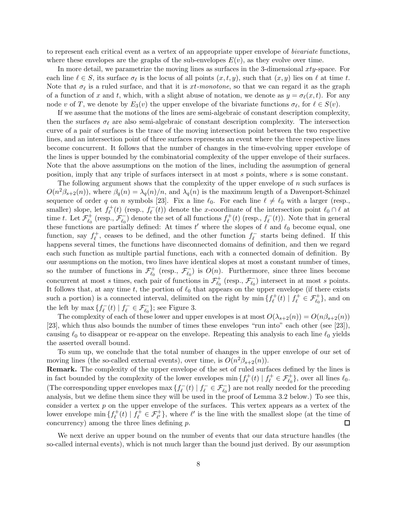to represent each critical event as a vertex of an appropriate upper envelope of bivariate functions, where these envelopes are the graphs of the sub-envelopes  $E(v)$ , as they evolve over time.

In more detail, we parametrize the moving lines as surfaces in the 3-dimensional xty-space. For each line  $\ell \in S$ , its surface  $\sigma_{\ell}$  is the locus of all points  $(x, t, y)$ , such that  $(x, y)$  lies on  $\ell$  at time t. Note that  $\sigma_{\ell}$  is a ruled surface, and that it is xt-monotone, so that we can regard it as the graph of a function of x and t, which, with a slight abuse of notation, we denote as  $y = \sigma_{\ell}(x, t)$ . For any node v of T, we denote by  $E_3(v)$  the upper envelope of the bivariate functions  $\sigma_\ell$ , for  $\ell \in S(v)$ .

If we assume that the motions of the lines are semi-algebraic of constant description complexity, then the surfaces  $\sigma_{\ell}$  are also semi-algebraic of constant description complexity. The intersection curve of a pair of surfaces is the trace of the moving intersection point between the two respective lines, and an intersection point of three surfaces represents an event where the three respective lines become concurrent. It follows that the number of changes in the time-evolving upper envelope of the lines is upper bounded by the combinatorial complexity of the upper envelope of their surfaces. Note that the above assumptions on the motion of the lines, including the assumption of general position, imply that any triple of surfaces intersect in at most s points, where s is some constant.

The following argument shows that the complexity of the upper envelope of  $n$  such surfaces is  $O(n^2\beta_{s+2}(n))$ , where  $\beta_q(n) = \lambda_q(n)/n$ , and  $\lambda_q(n)$  is the maximum length of a Davenport-Schinzel sequence of order q on n symbols [23]. Fix a line  $\ell_0$ . For each line  $\ell \neq \ell_0$  with a larger (resp., smaller) slope, let  $f_{\ell}^{+}$  $g_{\ell}^{+}(t)$  (resp.,  $f_{\ell}^{-}$  $\mathcal{L}_{\ell}(t)$  denote the x-coordinate of the intersection point  $\ell_0 \cap \ell$  at time t. Let  $\mathcal{F}_{\ell_0}^+$  $\vec{\ell}_0^+$  (resp.,  $\mathcal{F}^-_{\ell_0}$  $\overline{\ell_0}$  denote the set of all functions  $f_{\ell}^+$  $f_{\ell}^{+}(t)$  (resp.,  $f_{\ell}^{-}$  $\int_{\ell}^{\infty} (t)$ . Note that in general these functions are partially defined: At times  $t'$  where the slopes of  $\ell$  and  $\ell_0$  become equal, one function, say  $f_{\ell}^+$  $\ell^+$  , ceases to be defined, and the other function  $f^-_\ell$  $\bar{\ell}$  starts being defined. If this happens several times, the functions have disconnected domains of definition, and then we regard each such function as multiple partial functions, each with a connected domain of definition. By our assumptions on the motion, two lines have identical slopes at most a constant number of times, so the number of functions in  $\mathcal{F}^+_{\ell_0}$  $\vec{t}_0^+$  (resp.,  $\mathcal{F}_{\ell_0}^ \bar{e}_0$  is  $O(n)$ . Furthermore, since three lines become concurrent at most s times, each pair of functions in  $\mathcal{F}_{\ell_0}^+$  $\vec{\ell}_0^+$  (resp.,  $\mathcal{F}_{\ell_0}^ \overline{e_0}$ ) intersect in at most s points. It follows that, at any time t, the portion of  $\ell_0$  that appears on the upper envelope (if there exists such a portion) is a connected interval, delimited on the right by  $\min \{f_{\ell}^+\}$  $\mathcal{F}_{\ell}^{+}(t) \mid f_{\ell}^{+} \in \mathcal{F}_{\ell_0}^{+}$ , and on the left by max  $\{f_{\ell}^ \mathcal{F}_{\ell}^{-}(t) \mid f_{\ell}^{-} \in \mathcal{F}_{\ell_0}^{-}$ ; see Figure 3.

The complexity of each of these lower and upper envelopes is at most  $O(\lambda_{s+2}(n)) = O(n\beta_{s+2}(n))$ [23], which thus also bounds the number of times these envelopes "run into" each other (see [23]), causing  $\ell_0$  to disappear or re-appear on the envelope. Repeating this analysis to each line  $\ell_0$  yields the asserted overall bound.

To sum up, we conclude that the total number of changes in the upper envelope of our set of moving lines (the so-called external events), over time, is  $O(n^2\beta_{s+2}(n))$ .

Remark. The complexity of the upper envelope of the set of ruled surfaces defined by the lines is in fact bounded by the complexity of the lower envelopes  $\min \{f_{\ell}^+\}$  $\mathcal{F}_{\ell}^+(t) \mid f_{\ell}^+ \in \mathcal{F}_{\ell_0}^+\},$  over all lines  $\ell_0$ . (The corresponding upper envelopes max  $\{f_{\ell}^-\}$  $\mathcal{E}^-(t) \mid f^-_{{\ell}} \in \mathcal{F}^-_{\ell_0}$  are not really needed for the preceding analysis, but we define them since they will be used in the proof of Lemma 3.2 below.) To see this, consider a vertex  $p$  on the upper envelope of the surfaces. This vertex appears as a vertex of the lower envelope min  $\{f^+_\ell\}$  $(\ell^+)(t) \mid f_{\ell}^+ \in \mathcal{F}_{\ell'}^+$ , where  $\ell'$  is the line with the smallest slope (at the time of concurrency) among the three lines defining  $p$ .  $\Box$ 

We next derive an upper bound on the number of events that our data structure handles (the so-called internal events), which is not much larger than the bound just derived. By our assumption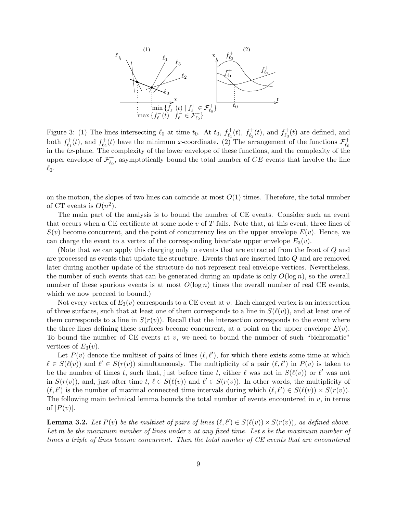

Figure 3: (1) The lines intersecting  $\ell_0$  at time  $t_0$ . At  $t_0$ ,  $f_{\ell_1}^+$  $j_{\ell_1}^+(t)$ ,  $f_{\ell_2}^+$  $t_{\ell_2}^+(t)$ , and  $f_{\ell_3}^+$  $t_{3}^{+}(t)$  are defined, and both  $f_{\ell_1}^+$  $t_{\ell_1}^+(t)$ , and  $f_{\ell_2}^+$  $\mathcal{L}_2^+(t)$  have the minimum x-coordinate. (2) The arrangement of the functions  $\mathcal{F}_{\ell_0}^+$  $\ell_0$ in the  $tx$ -plane. The complexity of the lower envelope of these functions, and the complexity of the upper envelope of  $\mathcal{F}_{\ell_0}^ \overline{\epsilon}_0$ , asymptotically bound the total number of CE events that involve the line  $\ell_0$ .

on the motion, the slopes of two lines can coincide at most  $O(1)$  times. Therefore, the total number of CT events is  $O(n^2)$ .

The main part of the analysis is to bound the number of CE events. Consider such an event that occurs when a CE certificate at some node  $v$  of T fails. Note that, at this event, three lines of  $S(v)$  become concurrent, and the point of concurrency lies on the upper envelope  $E(v)$ . Hence, we can charge the event to a vertex of the corresponding bivariate upper envelope  $E_3(v)$ .

(Note that we can apply this charging only to events that are extracted from the front of Q and are processed as events that update the structure. Events that are inserted into Q and are removed later during another update of the structure do not represent real envelope vertices. Nevertheless, the number of such events that can be generated during an update is only  $O(\log n)$ , so the overall number of these spurious events is at most  $O(\log n)$  times the overall number of real CE events, which we now proceed to bound.)

Not every vertex of  $E_3(v)$  corresponds to a CE event at v. Each charged vertex is an intersection of three surfaces, such that at least one of them corresponds to a line in  $S(\ell(v))$ , and at least one of them corresponds to a line in  $S(r(v))$ . Recall that the intersection corresponds to the event where the three lines defining these surfaces become concurrent, at a point on the upper envelope  $E(v)$ . To bound the number of  $CE$  events at  $v$ , we need to bound the number of such "bichromatic" vertices of  $E_3(v)$ .

Let  $P(v)$  denote the multiset of pairs of lines  $(\ell, \ell')$ , for which there exists some time at which  $\ell \in S(\ell(v))$  and  $\ell' \in S(r(v))$  simultaneously. The multiplicity of a pair  $(\ell, \ell')$  in  $P(v)$  is taken to be the number of times t, such that, just before time t, either  $\ell$  was not in  $S(\ell(v))$  or  $\ell'$  was not in  $S(r(v))$ , and, just after time  $t, \ell \in S(\ell(v))$  and  $\ell' \in S(r(v))$ . In other words, the multiplicity of  $(\ell, \ell')$  is the number of maximal connected time intervals during which  $(\ell, \ell') \in S(\ell(v)) \times S(r(v))$ . The following main technical lemma bounds the total number of events encountered in  $v$ , in terms of  $|P(v)|$ .

**Lemma 3.2.** Let  $P(v)$  be the multiset of pairs of lines  $(\ell, \ell') \in S(\ell(v)) \times S(r(v))$ , as defined above. Let  $m$  be the maximum number of lines under  $v$  at any fixed time. Let  $s$  be the maximum number of times a triple of lines become concurrent. Then the total number of CE events that are encountered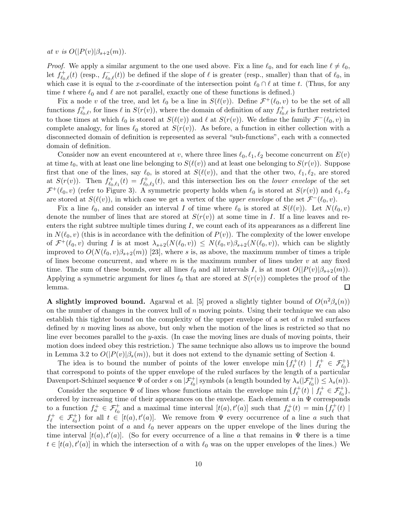at v is  $O(|P(v)|\beta_{s+2}(m)).$ 

*Proof.* We apply a similar argument to the one used above. Fix a line  $\ell_0$ , and for each line  $\ell \neq \ell_0$ , let  $f_{\ell_0,\ell}^+(t)$  (resp.,  $f_{\ell_0,\ell}^-(t)$ ) be defined if the slope of  $\ell$  is greater (resp., smaller) than that of  $\ell_0$ , in which case it is equal to the x-coordinate of the intersection point  $\ell_0 \cap \ell$  at time t. (Thus, for any time t where  $\ell_0$  and  $\ell$  are not parallel, exactly one of these functions is defined.)

Fix a node v of the tree, and let  $\ell_0$  be a line in  $S(\ell(v))$ . Define  $\mathcal{F}^+(\ell_0, v)$  to be the set of all functions  $f_{\ell_0,\ell}^+$ , for lines  $\ell$  in  $S(r(v))$ , where the domain of definition of any  $f_{\ell_0,\ell}^+$  is further restricted to those times at which  $\ell_0$  is stored at  $S(\ell(v))$  and  $\ell$  at  $S(r(v))$ . We define the family  $\mathcal{F}^{-}(\ell_0, v)$  in complete analogy, for lines  $\ell_0$  stored at  $S(r(v))$ . As before, a function in either collection with a disconnected domain of definition is represented as several "sub-functions", each with a connected domain of definition.

Consider now an event encountered at v, where three lines  $\ell_0, \ell_1, \ell_2$  become concurrent on  $E(v)$ at time  $t_0$ , with at least one line belonging to  $S(\ell(v))$  and at least one belonging to  $S(r(v))$ . Suppose first that one of the lines, say  $\ell_0$ , is stored at  $S(\ell(v))$ , and that the other two,  $\ell_1, \ell_2$ , are stored at  $S(r(v))$ . Then  $f_{\ell_0}^+$  $t_{0,\ell_1}^+(t) = f_{\ell_0}^+$  $\psi_{\ell_0,\ell_2}^+(t)$ , and this intersection lies on the *lower envelope* of the set  $\mathcal{F}^+(\ell_0, v)$  (refer to Figure 3). A symmetric property holds when  $\ell_0$  is stored at  $S(r(v))$  and  $\ell_1, \ell_2$ are stored at  $S(\ell(v))$ , in which case we get a vertex of the upper envelope of the set  $\mathcal{F}^{-}(\ell_0, v)$ .

Fix a line  $\ell_0$ , and consider an interval I of time where  $\ell_0$  is stored at  $S(\ell(v))$ . Let  $N(\ell_0, v)$ denote the number of lines that are stored at  $S(r(v))$  at some time in I. If a line leaves and reenters the right subtree multiple times during  $I$ , we count each of its appearances as a different line in  $N(\ell_0, v)$  (this is in accordance with the definition of  $P(v)$ ). The complexity of the lower envelope of  $\mathcal{F}^+(\ell_0, v)$  during I is at most  $\lambda_{s+2}(N(\ell_0, v)) \leq N(\ell_0, v)\beta_{s+2}(N(\ell_0, v))$ , which can be slightly improved to  $O(N(\ell_0, v)\beta_{s+2}(m))$  [23], where s is, as above, the maximum number of times a triple of lines become concurrent, and where  $m$  is the maximum number of lines under  $v$  at any fixed time. The sum of these bounds, over all lines  $\ell_0$  and all intervals I, is at most  $O(|P(v)|\beta_{s+2}(m))$ . Applying a symmetric argument for lines  $\ell_0$  that are stored at  $S(r(v))$  completes the proof of the lemma. □

A slightly improved bound. Agarwal et al. [5] proved a slightly tighter bound of  $O(n^2\beta_s(n))$ on the number of changes in the convex hull of  $n$  moving points. Using their technique we can also establish this tighter bound on the complexity of the upper envelope of a set of  $n$  ruled surfaces defined by  $n$  moving lines as above, but only when the motion of the lines is restricted so that no line ever becomes parallel to the y-axis. (In case the moving lines are duals of moving points, their motion does indeed obey this restriction.) The same technique also allows us to improve the bound in Lemma 3.2 to  $O(|P(v)|\beta_s(m))$ , but it does not extend to the dynamic setting of Section 4.

The idea is to bound the number of points of the lower envelope  $\min \{f_{\ell}^+\}$  $f_{\ell}^{+}(t)$  |  $f_{\ell}^{+} \in \mathcal{F}_{\ell_0}^{+}$ } that correspond to points of the upper envelope of the ruled surfaces by the length of a particular Davenport-Schinzel sequence  $\Psi$  of order s on  $|\mathcal{F}_{\ell_0}^+|$  symbols (a length bounded by  $\lambda_s(|\mathcal{F}_{\ell_0}^+|) \leq \lambda_s(n)$ ).

Consider the sequence  $\Psi$  of lines whose functions attain the envelope min  $\{f^{\dagger}_{\ell}\}$  $f_{\ell}^{+}(t)$  |  $f_{\ell}^{+} \in \mathcal{F}_{\ell_{0}}^{+}$  }, ordered by increasing time of their appearances on the envelope. Each element  $a$  in  $\Psi$  corresponds to a function  $f_a^+ \in \mathcal{F}_{\ell_0}^+$  and a maximal time interval  $[t(a), t'(a)]$  such that  $f_a^+(t) = \min\{f_\ell^+\}$  $\int_{\ell}^{+}(t)$  |  $f_{\ell}^+ \in \mathcal{F}_{\ell_0}^+$  for all  $t \in [t(a), t'(a)]$ . We remove from  $\Psi$  every occurrence of a line a such that the intersection point of a and  $\ell_0$  never appears on the upper envelope of the lines during the time interval  $[t(a), t'(a)]$ . (So for every occurrence of a line a that remains in  $\Psi$  there is a time  $t \in [t(a), t'(a)]$  in which the intersection of a with  $\ell_0$  was on the upper envelopes of the lines.) We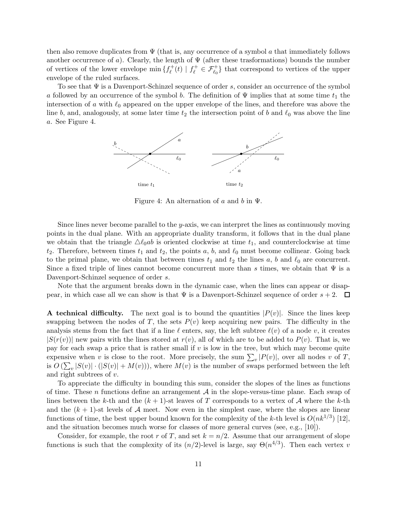then also remove duplicates from  $\Psi$  (that is, any occurrence of a symbol a that immediately follows another occurrence of a). Clearly, the length of  $\Psi$  (after these trasformations) bounds the number of vertices of the lower envelope min  $\{f_{\ell}^+\}$  $g_{\ell}^{+}(t) | f_{\ell}^{+} \in \mathcal{F}_{\ell_0}^{+}$  that correspond to vertices of the upper envelope of the ruled surfaces.

To see that  $\Psi$  is a Davenport-Schinzel sequence of order s, consider an occurrence of the symbol a followed by an occurrence of the symbol b. The definition of  $\Psi$  implies that at some time  $t_1$  the intersection of  $a$  with  $\ell_0$  appeared on the upper envelope of the lines, and therefore was above the line b, and, analogously, at some later time  $t_2$  the intersection point of b and  $\ell_0$  was above the line a. See Figure 4.



Figure 4: An alternation of a and b in  $\Psi$ .

Since lines never become parallel to the y-axis, we can interpret the lines as continuously moving points in the dual plane. With an appropriate duality transform, it follows that in the dual plane we obtain that the triangle  $\triangle \ell_0 ab$  is oriented clockwise at time  $t_1$ , and counterclockwise at time  $t_2$ . Therefore, between times  $t_1$  and  $t_2$ , the points a, b, and  $\ell_0$  must become collinear. Going back to the primal plane, we obtain that between times  $t_1$  and  $t_2$  the lines a, b and  $\ell_0$  are concurrent. Since a fixed triple of lines cannot become concurrent more than s times, we obtain that  $\Psi$  is a Davenport-Schinzel sequence of order s.

Note that the argument breaks down in the dynamic case, when the lines can appear or disappear, in which case all we can show is that  $\Psi$  is a Davenport-Schinzel sequence of order  $s + 2$ .  $\Box$ 

A technical difficulty. The next goal is to bound the quantities  $|P(v)|$ . Since the lines keep swapping between the nodes of T, the sets  $P(v)$  keep acquiring new pairs. The difficulty in the analysis stems from the fact that if a line  $\ell$  enters, say, the left subtree  $\ell(v)$  of a node v, it creates  $|S(r(v))|$  new pairs with the lines stored at  $r(v)$ , all of which are to be added to  $P(v)$ . That is, we pay for each swap a price that is rather small if  $v$  is low in the tree, but which may become quite expensive when v is close to the root. More precisely, the sum  $\sum_{v} |P(v)|$ , over all nodes v of T, is  $O\left(\sum_{v} |S(v)| \cdot (|S(v)| + M(v))\right)$ , where  $M(v)$  is the number of swaps performed between the left and right subtrees of v.

To appreciate the difficulty in bounding this sum, consider the slopes of the lines as functions of time. These n functions define an arrangement  $A$  in the slope-versus-time plane. Each swap of lines between the k-th and the  $(k+1)$ -st leaves of T corresponds to a vertex of A where the k-th and the  $(k + 1)$ -st levels of A meet. Now even in the simplest case, where the slopes are linear functions of time, the best upper bound known for the complexity of the k-th level is  $O(nk^{1/3})$  [12], and the situation becomes much worse for classes of more general curves (see, e.g., [10]).

Consider, for example, the root r of T, and set  $k = n/2$ . Assume that our arrangement of slope functions is such that the complexity of its  $(n/2)$ -level is large, say  $\Theta(n^{4/3})$ . Then each vertex v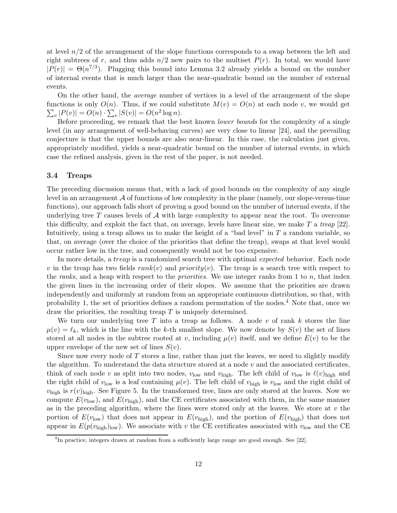at level  $n/2$  of the arrangement of the slope functions corresponds to a swap between the left and right subtrees of r, and thus adds  $n/2$  new pairs to the multiset  $P(r)$ . In total, we would have  $|P(r)| = \Theta(n^{7/3})$ . Plugging this bound into Lemma 3.2 already yields a bound on the number of internal events that is much larger than the near-quadratic bound on the number of external events.

On the other hand, the average number of vertices in a level of the arrangement of the slope functions is only  $O(n)$ . Thus, if we could substitute  $M(v) = O(n)$  at each node v, we would get  $\sum_{v} |P(v)| = O(n) \cdot \sum_{v} |S(v)| = O(n^2 \log n).$ 

Before proceeding, we remark that the best known *lower bounds* for the complexity of a single level (in any arrangement of well-behaving curves) are very close to linear [24], and the prevailing conjecture is that the upper bounds are also near-linear. In this case, the calculation just given, appropriately modified, yields a near-quadratic bound on the number of internal events, in which case the refined analysis, given in the rest of the paper, is not needed.

#### 3.4 Treaps

The preceding discussion means that, with a lack of good bounds on the complexity of any single level in an arrangement  $\mathcal A$  of functions of low complexity in the plane (namely, our slope-versus-time functions), our approach falls short of proving a good bound on the number of internal events, if the underlying tree  $T$  causes levels of  $A$  with large complexity to appear near the root. To overcome this difficulty, and exploit the fact that, on average, levels have linear size, we make  $T$  a treap [22]. Intuitively, using a treap allows us to make the height of a "bad level" in  $T$  a random variable, so that, on average (over the choice of the priorities that define the treap), swaps at that level would occur rather low in the tree, and consequently would not be too expensive.

In more details, a *treap* is a randomized search tree with optimal *expected* behavior. Each node v in the treap has two fields  $rank(v)$  and  $priority(v)$ . The treap is a search tree with respect to the ranks, and a heap with respect to the *priorities*. We use integer ranks from 1 to n, that index the given lines in the increasing order of their slopes. We assume that the priorities are drawn independently and uniformly at random from an appropriate continuous distribution, so that, with probability 1, the set of priorities defines a random permutation of the nodes.<sup>4</sup> Note that, once we draw the priorities, the resulting treap  $T$  is uniquely determined.

We turn our underlying tree T into a treap as follows. A node v of rank k stores the line  $\mu(v) = \ell_k$ , which is the line with the k-th smallest slope. We now denote by  $S(v)$  the set of lines stored at all nodes in the subtree rooted at v, including  $\mu(v)$  itself, and we define  $E(v)$  to be the upper envelope of the new set of lines  $S(v)$ .

Since now every node of  $T$  stores a line, rather than just the leaves, we need to slightly modify the algorithm. To understand the data structure stored at a node  $v$  and the associated certificates, think of each node v as split into two nodes,  $v_{\text{low}}$  and  $v_{\text{high}}$ . The left child of  $v_{\text{low}}$  is  $\ell(v)_{\text{high}}$  and the right child of  $v_{\text{low}}$  is a leaf containing  $\mu(v)$ . The left child of  $v_{\text{high}}$  is  $v_{\text{low}}$  and the right child of  $v_{\text{high}}$  is  $r(v)_{\text{high}}$ . See Figure 5. In the transformed tree, lines are only stored at the leaves. Now we compute  $E(v_{\text{low}})$ , and  $E(v_{\text{high}})$ , and the CE certificates associated with them, in the same manner as in the preceding algorithm, where the lines were stored only at the leaves. We store at  $v$  the portion of  $E(v_{\text{low}})$  that does not appear in  $E(v_{\text{high}})$ , and the portion of  $E(v_{\text{high}})$  that does not appear in  $E(p(v_{\text{high}})_{\text{low}})$ . We associate with v the CE certificates associated with  $v_{\text{low}}$  and the CE

<sup>&</sup>lt;sup>4</sup>In practice, integers drawn at random from a sufficiently large range are good enough. See [22].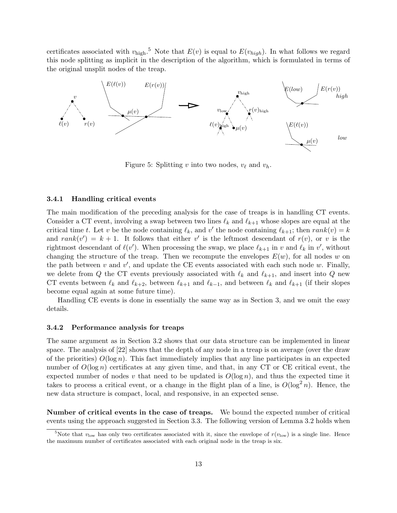certificates associated with  $v_{\text{high}}$ <sup>5</sup>. Note that  $E(v)$  is equal to  $E(v_{high})$ . In what follows we regard this node splitting as implicit in the description of the algorithm, which is formulated in terms of the original unsplit nodes of the treap.



Figure 5: Splitting v into two nodes,  $v_\ell$  and  $v_h$ .

## 3.4.1 Handling critical events

The main modification of the preceding analysis for the case of treaps is in handling CT events. Consider a CT event, involving a swap between two lines  $\ell_k$  and  $\ell_{k+1}$  whose slopes are equal at the critical time t. Let v be the node containing  $\ell_k$ , and v' the node containing  $\ell_{k+1}$ ; then  $rank(v) = k$ and  $rank(v') = k + 1$ . It follows that either v' is the leftmost descendant of  $r(v)$ , or v is the rightmost descendant of  $\ell(v')$ . When processing the swap, we place  $\ell_{k+1}$  in v and  $\ell_k$  in v', without changing the structure of the treap. Then we recompute the envelopes  $E(w)$ , for all nodes w on the path between  $v$  and  $v'$ , and update the CE events associated with each such node  $w$ . Finally, we delete from Q the CT events previously associated with  $\ell_k$  and  $\ell_{k+1}$ , and insert into Q new CT events between  $\ell_k$  and  $\ell_{k+2}$ , between  $\ell_{k+1}$  and  $\ell_{k-1}$ , and between  $\ell_k$  and  $\ell_{k+1}$  (if their slopes become equal again at some future time).

Handling CE events is done in essentially the same way as in Section 3, and we omit the easy details.

#### 3.4.2 Performance analysis for treaps

The same argument as in Section 3.2 shows that our data structure can be implemented in linear space. The analysis of [22] shows that the depth of any node in a treap is on average (over the draw of the priorities)  $O(\log n)$ . This fact immediately implies that any line participates in an expected number of  $O(\log n)$  certificates at any given time, and that, in any CT or CE critical event, the expected number of nodes v that need to be updated is  $O(\log n)$ , and thus the expected time it takes to process a critical event, or a change in the flight plan of a line, is  $O(\log^2 n)$ . Hence, the new data structure is compact, local, and responsive, in an expected sense.

Number of critical events in the case of treaps. We bound the expected number of critical events using the approach suggested in Section 3.3. The following version of Lemma 3.2 holds when

<sup>&</sup>lt;sup>5</sup>Note that  $v_{\text{low}}$  has only two certificates associated with it, since the envelope of  $r(v_{\text{low}})$  is a single line. Hence the maximum number of certificates associated with each original node in the treap is six.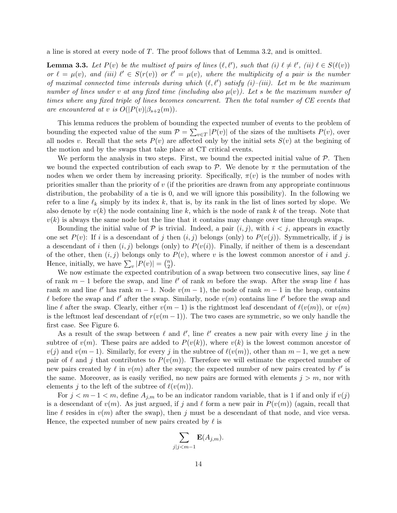a line is stored at every node of T. The proof follows that of Lemma 3.2, and is omitted.

**Lemma 3.3.** Let  $P(v)$  be the multiset of pairs of lines  $(\ell, \ell')$ , such that (i)  $\ell \neq \ell'$ , (ii)  $\ell \in S(\ell(v))$ or  $\ell = \mu(v)$ , and (iii)  $\ell' \in S(r(v))$  or  $\ell' = \mu(v)$ , where the multiplicity of a pair is the number of maximal connected time intervals during which  $(\ell, \ell')$  satisfy (i)–(iii). Let m be the maximum number of lines under v at any fixed time (including also  $\mu(v)$ ). Let s be the maximum number of times where any fixed triple of lines becomes concurrent. Then the total number of CE events that are encountered at v is  $O(|P(v)|\beta_{s+2}(m))$ .

This lemma reduces the problem of bounding the expected number of events to the problem of bounding the expected value of the sum  $P = \sum_{v \in T} |P(v)|$  of the sizes of the multisets  $P(v)$ , over all nodes v. Recall that the sets  $P(v)$  are affected only by the initial sets  $S(v)$  at the begining of the motion and by the swaps that take place at CT critical events.

We perform the analysis in two steps. First, we bound the expected initial value of  $P$ . Then we bound the expected contribution of each swap to P. We denote by  $\pi$  the permutation of the nodes when we order them by increasing priority. Specifically,  $\pi(v)$  is the number of nodes with priorities smaller than the priority of  $v$  (if the priorities are drawn from any appropriate continuous distribution, the probability of a tie is 0, and we will ignore this possibility). In the following we refer to a line  $\ell_k$  simply by its index k, that is, by its rank in the list of lines sorted by slope. We also denote by  $v(k)$  the node containing line k, which is the node of rank k of the treap. Note that  $v(k)$  is always the same node but the line that it contains may change over time through swaps.

Bounding the initial value of  $P$  is trivial. Indeed, a pair  $(i, j)$ , with  $i < j$ , appears in exactly one set  $P(v)$ : If i is a descendant of j then  $(i, j)$  belongs (only) to  $P(v(j))$ . Symmetrically, if j is a descendant of i then  $(i, j)$  belongs (only) to  $P(v(i))$ . Finally, if neither of them is a descendant of the other, then  $(i, j)$  belongs only to  $P(v)$ , where v is the lowest common ancestor of i and j. Hence, initially, we have  $\sum_{v} |P(v)| = \binom{n}{2}$  $\binom{n}{2}$ .

We now estimate the expected contribution of a swap between two consecutive lines, say line  $\ell$ of rank  $m-1$  before the swap, and line  $\ell'$  of rank m before the swap. After the swap line  $\ell$  has rank m and line  $\ell'$  has rank  $m - 1$ . Node  $v(m - 1)$ , the node of rank  $m - 1$  in the heap, contains  $\ell$  before the swap and  $\ell'$  after the swap. Similarly, node  $v(m)$  contains line  $\ell'$  before the swap and line  $\ell$  after the swap. Clearly, either  $v(m - 1)$  is the rightmost leaf descendant of  $\ell(v(m))$ , or  $v(m)$ is the leftmost leaf descendant of  $r(v(m-1))$ . The two cases are symmetric, so we only handle the first case. See Figure 6.

As a result of the swap between  $\ell$  and  $\ell'$ , line  $\ell'$  creates a new pair with every line j in the subtree of  $v(m)$ . These pairs are added to  $P(v(k))$ , where  $v(k)$  is the lowest common ancestor of  $v(j)$  and  $v(m-1)$ . Similarly, for every j in the subtree of  $\ell(v(m))$ , other than  $m-1$ , we get a new pair of  $\ell$  and j that contributes to  $P(v(m))$ . Therefore we will estimate the expected number of new pairs created by  $\ell$  in  $v(m)$  after the swap; the expected number of new pairs created by  $\ell'$  is the same. Moreover, as is easily verified, no new pairs are formed with elements  $j > m$ , nor with elements j to the left of the subtree of  $\ell(v(m))$ .

For  $j < m-1 < m$ , define  $A_{j,m}$  to be an indicator random variable, that is 1 if and only if  $v(j)$ is a descendant of  $v(m)$ . As just argued, if j and  $\ell$  form a new pair in  $P(v(m))$  (again, recall that line  $\ell$  resides in  $v(m)$  after the swap), then j must be a descendant of that node, and vice versa. Hence, the expected number of new pairs created by  $\ell$  is

$$
\sum_{j|j
$$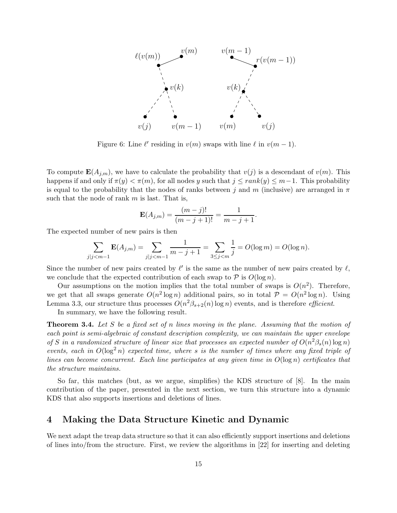

Figure 6: Line  $\ell'$  residing in  $v(m)$  swaps with line  $\ell$  in  $v(m - 1)$ .

To compute  $\mathbf{E}(A_{j,m})$ , we have to calculate the probability that  $v(j)$  is a descendant of  $v(m)$ . This happens if and only if  $\pi(y) < \pi(m)$ , for all nodes y such that  $j \leq rank(y) \leq m-1$ . This probability is equal to the probability that the nodes of ranks between j and m (inclusive) are arranged in  $\pi$ such that the node of rank  $m$  is last. That is,

$$
\mathbf{E}(A_{j,m}) = \frac{(m-j)!}{(m-j+1)!} = \frac{1}{m-j+1}.
$$

The expected number of new pairs is then

$$
\sum_{j|j
$$

Since the number of new pairs created by  $\ell'$  is the same as the number of new pairs created by  $\ell$ , we conclude that the expected contribution of each swap to  $P$  is  $O(\log n)$ .

Our assumptions on the motion implies that the total number of swaps is  $O(n^2)$ . Therefore, we get that all swaps generate  $O(n^2 \log n)$  additional pairs, so in total  $P = O(n^2 \log n)$ . Using Lemma 3.3, our structure thus processes  $O(n^2\beta_{s+2}(n) \log n)$  events, and is therefore *efficient*.

In summary, we have the following result.

**Theorem 3.4.** Let S be a fixed set of n lines moving in the plane. Assuming that the motion of each point is semi-algebraic of constant description complexity, we can maintain the upper envelope of S in a randomized structure of linear size that processes an expected number of  $O(n^2\beta_s(n)\log n)$ events, each in  $O(\log^2 n)$  expected time, where s is the number of times where any fixed triple of lines can become concurrent. Each line participates at any given time in  $O(\log n)$  certificates that the structure maintains.

So far, this matches (but, as we argue, simplifies) the KDS structure of [8]. In the main contribution of the paper, presented in the next section, we turn this structure into a dynamic KDS that also supports insertions and deletions of lines.

## 4 Making the Data Structure Kinetic and Dynamic

We next adapt the treap data structure so that it can also efficiently support insertions and deletions of lines into/from the structure. First, we review the algorithms in [22] for inserting and deleting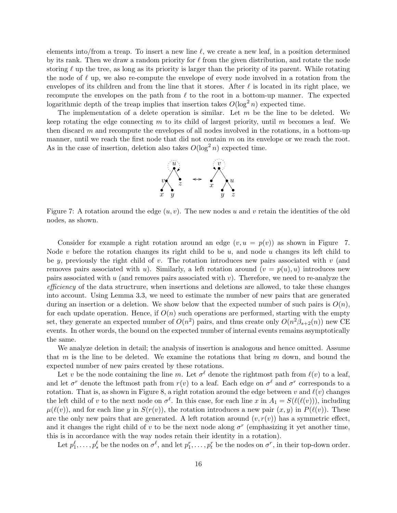elements into/from a treap. To insert a new line  $\ell$ , we create a new leaf, in a position determined by its rank. Then we draw a random priority for  $\ell$  from the given distribution, and rotate the node storing  $\ell$  up the tree, as long as its priority is larger than the priority of its parent. While rotating the node of  $\ell$  up, we also re-compute the envelope of every node involved in a rotation from the envelopes of its children and from the line that it stores. After  $\ell$  is located in its right place, we recompute the envelopes on the path from  $\ell$  to the root in a bottom-up manner. The expected logarithmic depth of the treap implies that insertion takes  $O(\log^2 n)$  expected time.

The implementation of a delete operation is similar. Let  $m$  be the line to be deleted. We keep rotating the edge connecting  $m$  to its child of largest priority, until  $m$  becomes a leaf. We then discard  $m$  and recompute the envelopes of all nodes involved in the rotations, in a bottom-up manner, until we reach the first node that did not contain  $m$  on its envelope or we reach the root. As in the case of insertion, deletion also takes  $O(\log^2 n)$  expected time.



Figure 7: A rotation around the edge  $(u, v)$ . The new nodes u and v retain the identities of the old nodes, as shown.

Consider for example a right rotation around an edge  $(v, u = p(v))$  as shown in Figure 7. Node v before the rotation changes its right child to be  $u$ , and node  $u$  changes its left child to be y, previously the right child of v. The rotation introduces new pairs associated with  $v$  (and removes pairs associated with u). Similarly, a left rotation around  $(v = p(u), u)$  introduces new pairs associated with u (and removes pairs associated with v). Therefore, we need to re-analyze the efficiency of the data structrure, when insertions and deletions are allowed, to take these changes into account. Using Lemma 3.3, we need to estimate the number of new pairs that are generated during an insertion or a deletion. We show below that the expected number of such pairs is  $O(n)$ , for each update operation. Hence, if  $O(n)$  such operations are performed, starting with the empty set, they generate an expected number of  $O(n^2)$  pairs, and thus create only  $O(n^2\beta_{s+2}(n))$  new CE events. In other words, the bound on the expected number of internal events remains asymptotically the same.

We analyze deletion in detail; the analysis of insertion is analogous and hence omitted. Assume that m is the line to be deleted. We examine the rotations that bring m down, and bound the expected number of new pairs created by these rotations.

Let v be the node containing the line m. Let  $\sigma^{\ell}$  denote the rightmost path from  $\ell(v)$  to a leaf, and let  $\sigma^r$  denote the leftmost path from  $r(v)$  to a leaf. Each edge on  $\sigma^{\ell}$  and  $\sigma^r$  corresponds to a rotation. That is, as shown in Figure 8, a right rotation around the edge between v and  $\ell(v)$  changes the left child of v to the next node on  $\sigma^{\ell}$ . In this case, for each line x in  $A_1 = S(\ell(\ell(v)))$ , including  $\mu(\ell(v))$ , and for each line y in  $S(r(v))$ , the rotation introduces a new pair  $(x, y)$  in  $P(\ell(v))$ . These are the only new pairs that are generated. A left rotation around  $(v, r(v))$  has a symmetric effect, and it changes the right child of v to be the next node along  $\sigma^r$  (emphasizing it yet another time, this is in accordance with the way nodes retain their identity in a rotation).

Let  $p_1^{\ell}, \ldots, p_s^{\ell}$  be the nodes on  $\sigma^{\ell}$ , and let  $p_1^r, \ldots, p_t^r$  be the nodes on  $\sigma^r$ , in their top-down order.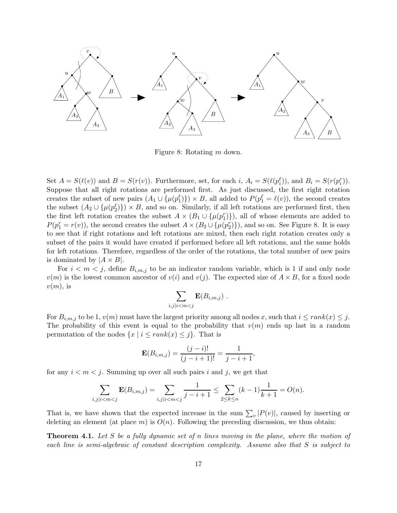

Figure 8: Rotating m down.

Set  $A = S(\ell(v))$  and  $B = S(r(v))$ . Furthermore, set, for each i,  $A_i = S(\ell(p_i^{\ell}))$ , and  $B_i = S(r(p_i^{\tau}))$ . Suppose that all right rotations are performed first. As just discussed, the first right rotation creates the subset of new pairs  $(A_1 \cup \{\mu(p_1^{\ell})\}) \times B$ , all added to  $P(p_1^{\ell} = \ell(v))$ , the second creates the subset  $(A_2 \cup {\mu(p_2^{\ell})}) \times B$ , and so on. Similarly, if all left rotations are performed first, then the first left rotation creates the subset  $A \times (B_1 \cup {\mu(p_1^r)})$ , all of whose elements are added to  $P(p_1^r = r(v))$ , the second creates the subset  $A \times (B_2 \cup {\mu(p_2^r)})$ , and so on. See Figure 8. It is easy to see that if right rotations and left rotations are mixed, then each right rotation creates only a subset of the pairs it would have created if performed before all left rotations, and the same holds for left rotations. Therefore, regardless of the order of the rotations, the total number of new pairs is dominated by  $|A \times B|$ .

For  $i < m < j$ , define  $B_{i,m,j}$  to be an indicator random variable, which is 1 if and only node  $v(m)$  is the lowest common ancestor of  $v(i)$  and  $v(j)$ . The expected size of  $A \times B$ , for a fixed node  $v(m)$ , is

$$
\sum_{i,j|i
$$

For  $B_{i,m,j}$  to be 1,  $v(m)$  must have the largest priority among all nodes x, such that  $i \leq rank(x) \leq j$ . The probability of this event is equal to the probability that  $v(m)$  ends up last in a random permutation of the nodes  $\{x \mid i \leq rank(x) \leq j\}$ . That is

$$
\mathbf{E}(B_{i,m,j}) = \frac{(j-i)!}{(j-i+1)!} = \frac{1}{j-i+1},
$$

for any  $i < m < j$ . Summing up over all such pairs i and j, we get that

$$
\sum_{i,j|i
$$

That is, we have shown that the expected increase in the sum  $\sum_{v} |P(v)|$ , caused by inserting or deleting an element (at place m) is  $O(n)$ . Following the preceding discussion, we thus obtain:

**Theorem 4.1.** Let S be a fully dynamic set of n lines moving in the plane, where the motion of each line is semi-algebraic of constant description complexity. Assume also that S is subject to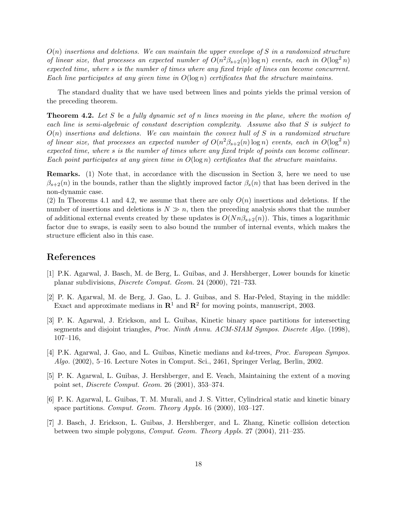$O(n)$  insertions and deletions. We can maintain the upper envelope of S in a randomized structure of linear size, that processes an expected number of  $O(n^2\beta_{s+2}(n)\log n)$  events, each in  $O(\log^2 n)$ expected time, where s is the number of times where any fixed triple of lines can become concurrent. Each line participates at any given time in  $O(\log n)$  certificates that the structure maintains.

The standard duality that we have used between lines and points yields the primal version of the preceding theorem.

**Theorem 4.2.** Let S be a fully dynamic set of n lines moving in the plane, where the motion of each line is semi-algebraic of constant description complexity. Assume also that S is subject to  $O(n)$  insertions and deletions. We can maintain the convex hull of S in a randomized structure of linear size, that processes an expected number of  $O(n^2\beta_{s+2}(n)\log n)$  events, each in  $O(\log^2 n)$ expected time, where s is the number of times where any fixed triple of points can become collinear. Each point participates at any given time in  $O(\log n)$  certificates that the structure maintains.

Remarks. (1) Note that, in accordance with the discussion in Section 3, here we need to use  $\beta_{s+2}(n)$  in the bounds, rather than the slightly improved factor  $\beta_s(n)$  that has been derived in the non-dynamic case.

(2) In Theorems 4.1 and 4.2, we assume that there are only  $O(n)$  insertions and deletions. If the number of insertions and deletions is  $N \gg n$ , then the preceding analysis shows that the number of additional external events created by these updates is  $O(Nn\beta_{s+2}(n))$ . This, times a logarithmic factor due to swaps, is easily seen to also bound the number of internal events, which makes the structure efficient also in this case.

# References

- [1] P.K. Agarwal, J. Basch, M. de Berg, L. Guibas, and J. Hershberger, Lower bounds for kinetic planar subdivisions, Discrete Comput. Geom. 24 (2000), 721–733.
- [2] P. K. Agarwal, M. de Berg, J. Gao, L. J. Guibas, and S. Har-Peled, Staying in the middle: Exact and approximate medians in  $\mathbb{R}^1$  and  $\mathbb{R}^2$  for moving points, manuscript, 2003.
- [3] P. K. Agarwal, J. Erickson, and L. Guibas, Kinetic binary space partitions for intersecting segments and disjoint triangles, Proc. Ninth Annu. ACM-SIAM Sympos. Discrete Algo. (1998), 107–116,
- [4] P.K. Agarwal, J. Gao, and L. Guibas, Kinetic medians and kd-trees, Proc. European Sympos. Algo. (2002), 5–16. Lecture Notes in Comput. Sci., 2461, Springer Verlag, Berlin, 2002.
- [5] P. K. Agarwal, L. Guibas, J. Hershberger, and E. Veach, Maintaining the extent of a moving point set, Discrete Comput. Geom. 26 (2001), 353–374.
- [6] P. K. Agarwal, L. Guibas, T. M. Murali, and J. S. Vitter, Cylindrical static and kinetic binary space partitions. Comput. Geom. Theory Appls. 16 (2000), 103–127.
- [7] J. Basch, J. Erickson, L. Guibas, J. Hershberger, and L. Zhang, Kinetic collision detection between two simple polygons, Comput. Geom. Theory Appls. 27 (2004), 211–235.